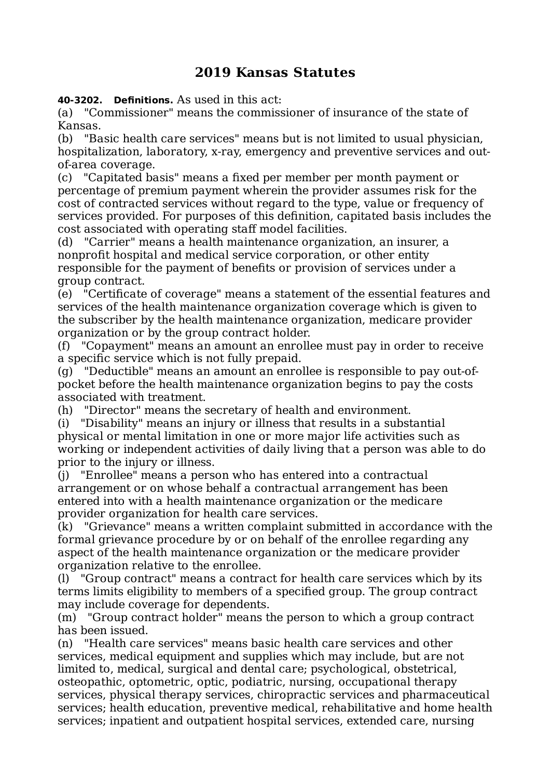## **2019 Kansas Statutes**

**40-3202. Definitions.** As used in this act:

(a) "Commissioner" means the commissioner of insurance of the state of Kansas.

(b) "Basic health care services" means but is not limited to usual physician, hospitalization, laboratory, x-ray, emergency and preventive services and outof-area coverage.

(c) "Capitated basis" means a fixed per member per month payment or percentage of premium payment wherein the provider assumes risk for the cost of contracted services without regard to the type, value or frequency of services provided. For purposes of this definition, capitated basis includes the cost associated with operating staff model facilities.

(d) "Carrier" means a health maintenance organization, an insurer, a nonprofit hospital and medical service corporation, or other entity responsible for the payment of benefits or provision of services under a group contract.

(e) "Certificate of coverage" means a statement of the essential features and services of the health maintenance organization coverage which is given to the subscriber by the health maintenance organization, medicare provider organization or by the group contract holder.

(f) "Copayment" means an amount an enrollee must pay in order to receive a specific service which is not fully prepaid.

(g) "Deductible" means an amount an enrollee is responsible to pay out-ofpocket before the health maintenance organization begins to pay the costs associated with treatment.

(h) "Director" means the secretary of health and environment.

(i) "Disability" means an injury or illness that results in a substantial physical or mental limitation in one or more major life activities such as working or independent activities of daily living that a person was able to do prior to the injury or illness.

(j) "Enrollee" means a person who has entered into a contractual arrangement or on whose behalf a contractual arrangement has been entered into with a health maintenance organization or the medicare provider organization for health care services.

(k) "Grievance" means a written complaint submitted in accordance with the formal grievance procedure by or on behalf of the enrollee regarding any aspect of the health maintenance organization or the medicare provider organization relative to the enrollee.

(l) "Group contract" means a contract for health care services which by its terms limits eligibility to members of a specified group. The group contract may include coverage for dependents.

(m) "Group contract holder" means the person to which a group contract has been issued.

(n) "Health care services" means basic health care services and other services, medical equipment and supplies which may include, but are not limited to, medical, surgical and dental care; psychological, obstetrical, osteopathic, optometric, optic, podiatric, nursing, occupational therapy services, physical therapy services, chiropractic services and pharmaceutical services; health education, preventive medical, rehabilitative and home health services; inpatient and outpatient hospital services, extended care, nursing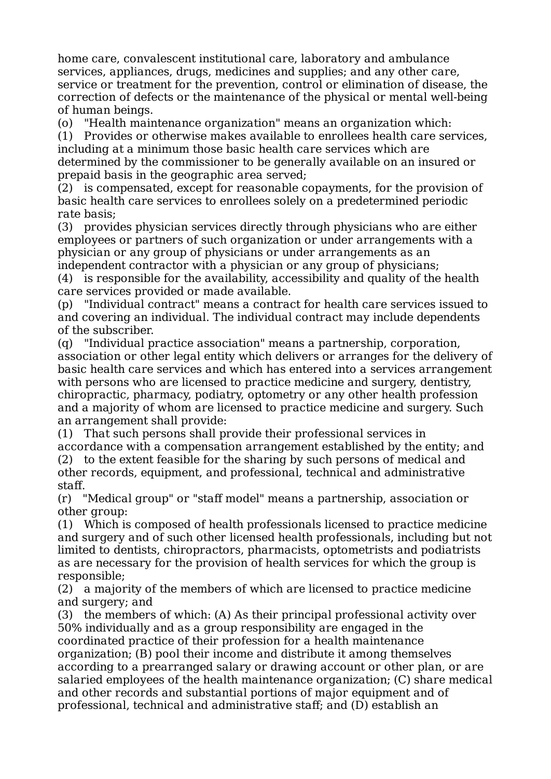home care, convalescent institutional care, laboratory and ambulance services, appliances, drugs, medicines and supplies; and any other care, service or treatment for the prevention, control or elimination of disease, the correction of defects or the maintenance of the physical or mental well-being of human beings.

(o) "Health maintenance organization" means an organization which:

(1) Provides or otherwise makes available to enrollees health care services, including at a minimum those basic health care services which are determined by the commissioner to be generally available on an insured or prepaid basis in the geographic area served;

(2) is compensated, except for reasonable copayments, for the provision of basic health care services to enrollees solely on a predetermined periodic rate basis;

(3) provides physician services directly through physicians who are either employees or partners of such organization or under arrangements with a physician or any group of physicians or under arrangements as an independent contractor with a physician or any group of physicians;

(4) is responsible for the availability, accessibility and quality of the health care services provided or made available.

(p) "Individual contract" means a contract for health care services issued to and covering an individual. The individual contract may include dependents of the subscriber.

(q) "Individual practice association" means a partnership, corporation, association or other legal entity which delivers or arranges for the delivery of basic health care services and which has entered into a services arrangement with persons who are licensed to practice medicine and surgery, dentistry, chiropractic, pharmacy, podiatry, optometry or any other health profession and a majority of whom are licensed to practice medicine and surgery. Such an arrangement shall provide:

(1) That such persons shall provide their professional services in accordance with a compensation arrangement established by the entity; and

(2) to the extent feasible for the sharing by such persons of medical and other records, equipment, and professional, technical and administrative staff.

(r) "Medical group" or "staff model" means a partnership, association or other group:

(1) Which is composed of health professionals licensed to practice medicine and surgery and of such other licensed health professionals, including but not limited to dentists, chiropractors, pharmacists, optometrists and podiatrists as are necessary for the provision of health services for which the group is responsible;

(2) a majority of the members of which are licensed to practice medicine and surgery; and

(3) the members of which: (A) As their principal professional activity over 50% individually and as a group responsibility are engaged in the coordinated practice of their profession for a health maintenance organization; (B) pool their income and distribute it among themselves according to a prearranged salary or drawing account or other plan, or are salaried employees of the health maintenance organization; (C) share medical and other records and substantial portions of major equipment and of professional, technical and administrative staff; and (D) establish an